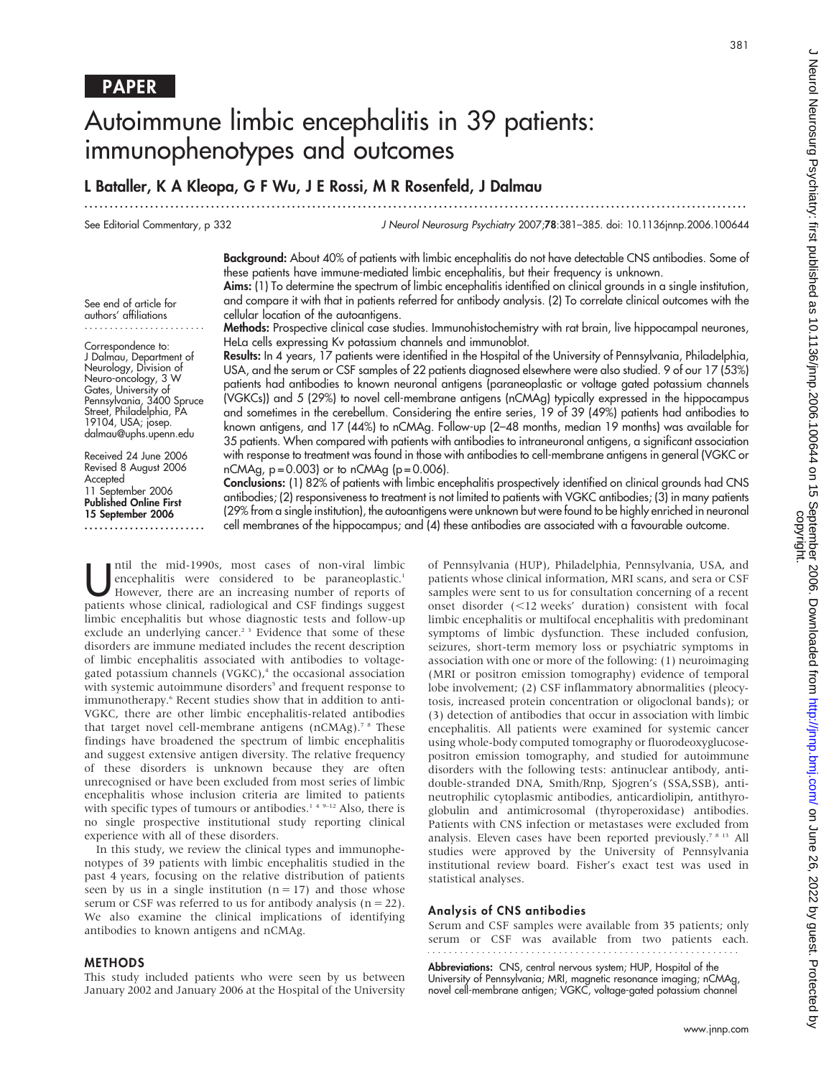381

# Autoimmune limbic encephalitis in 39 patients: immunophenotypes and outcomes

# L Bataller, K A Kleopa, G F Wu, J E Rossi, M R Rosenfeld, J Dalmau

See Editorial Commentary, p 332

J Neurol Neurosurg Psychiatry 2007;78:381–385. doi: 10.1136jnnp.2006.100644

Background: About 40% of patients with limbic encephalitis do not have detectable CNS antibodies. Some of these patients have immune-mediated limbic encephalitis, but their frequency is unknown.

...................................................................................................................................

Aims: (1) To determine the spectrum of limbic encephalitis identified on clinical grounds in a single institution, and compare it with that in patients referred for antibody analysis. (2) To correlate clinical outcomes with the cellular location of the autoantigens.

See end of article for authors' affiliations ........................

Correspondence to: J Dalmau, Department of Neurology, Division of Neuro-oncology, 3 W Gates, University of Pennsylvania, 3400 Spruce Street, Philadelphia, PA 19104, USA; josep. dalmau@uphs.upenn.edu

Received 24 June 2006 Revised 8 August 2006 Accepted 11 September 2006 Published Online First 15 September 2006

........................

Methods: Prospective clinical case studies. Immunohistochemistry with rat brain, live hippocampal neurones, HeLa cells expressing Kv potassium channels and immunoblot.

Results: In 4 years, 17 patients were identified in the Hospital of the University of Pennsylvania, Philadelphia, USA, and the serum or CSF samples of 22 patients diagnosed elsewhere were also studied. 9 of our 17 (53%) patients had antibodies to known neuronal antigens (paraneoplastic or voltage gated potassium channels (VGKCs)) and 5 (29%) to novel cell-membrane antigens (nCMAg) typically expressed in the hippocampus and sometimes in the cerebellum. Considering the entire series, 19 of 39 (49%) patients had antibodies to known antigens, and 17 (44%) to nCMAg. Follow-up (2–48 months, median 19 months) was available for 35 patients. When compared with patients with antibodies to intraneuronal antigens, a significant association with response to treatment was found in those with antibodies to cell-membrane antigens in general (VGKC or  $nCMAg$ ,  $p = 0.003$ ) or to  $nCMAg$  ( $p = 0.006$ ).

Conclusions: (1) 82% of patients with limbic encephalitis prospectively identified on clinical grounds had CNS antibodies; (2) responsiveness to treatment is not limited to patients with VGKC antibodies; (3) in many patients (29% from a single institution), the autoantigens were unknown but were found to be highly enriched in neuronal cell membranes of the hippocampus; and (4) these antibodies are associated with a favourable outcome.

Intil the mid-1990s, most cases of non-viral limbic<br>
encephalitis were considered to be paraneoplastic.<sup>1</sup><br>
However, there are an increasing number of reports of<br>
nations whose clinical radiological and CSE findings sugges encephalitis were considered to be paraneoplastic.<sup>1</sup> patients whose clinical, radiological and CSF findings suggest limbic encephalitis but whose diagnostic tests and follow-up exclude an underlying cancer.<sup>23</sup> Evidence that some of these disorders are immune mediated includes the recent description of limbic encephalitis associated with antibodies to voltagegated potassium channels  $(VGKC)<sup>4</sup>$ , the occasional association with systemic autoimmune disorders<sup>5</sup> and frequent response to immunotherapy.<sup>6</sup> Recent studies show that in addition to anti-VGKC, there are other limbic encephalitis-related antibodies that target novel cell-membrane antigens (nCMAg).<sup>78</sup> These findings have broadened the spectrum of limbic encephalitis and suggest extensive antigen diversity. The relative frequency of these disorders is unknown because they are often unrecognised or have been excluded from most series of limbic encephalitis whose inclusion criteria are limited to patients with specific types of tumours or antibodies.<sup>149-12</sup> Also, there is no single prospective institutional study reporting clinical experience with all of these disorders.

In this study, we review the clinical types and immunophenotypes of 39 patients with limbic encephalitis studied in the past 4 years, focusing on the relative distribution of patients seen by us in a single institution  $(n = 17)$  and those whose serum or CSF was referred to us for antibody analysis ( $n = 22$ ). We also examine the clinical implications of identifying antibodies to known antigens and nCMAg.

### METHODS

This study included patients who were seen by us between January 2002 and January 2006 at the Hospital of the University

of Pennsylvania (HUP), Philadelphia, Pennsylvania, USA, and patients whose clinical information, MRI scans, and sera or CSF samples were sent to us for consultation concerning of a recent onset disorder  $(<12$  weeks' duration) consistent with focal limbic encephalitis or multifocal encephalitis with predominant symptoms of limbic dysfunction. These included confusion, seizures, short-term memory loss or psychiatric symptoms in association with one or more of the following: (1) neuroimaging (MRI or positron emission tomography) evidence of temporal lobe involvement; (2) CSF inflammatory abnormalities (pleocytosis, increased protein concentration or oligoclonal bands); or (3) detection of antibodies that occur in association with limbic encephalitis. All patients were examined for systemic cancer using whole-body computed tomography or fluorodeoxyglucosepositron emission tomography, and studied for autoimmune disorders with the following tests: antinuclear antibody, antidouble-stranded DNA, Smith/Rnp, Sjogren's (SSA,SSB), antineutrophilic cytoplasmic antibodies, anticardiolipin, antithyroglobulin and antimicrosomal (thyroperoxidase) antibodies. Patients with CNS infection or metastases were excluded from analysis. Eleven cases have been reported previously.<sup>7 8 13</sup> All studies were approved by the University of Pennsylvania institutional review board. Fisher's exact test was used in statistical analyses.

### Analysis of CNS antibodies

Serum and CSF samples were available from 35 patients; only serum or CSF was available from two patients each.

Abbreviations: CNS, central nervous system; HUP, Hospital of the University of Pennsylvania; MRI, magnetic resonance imaging; nCMAg, novel cell-membrane antigen; VGKC, voltage-gated potassium channel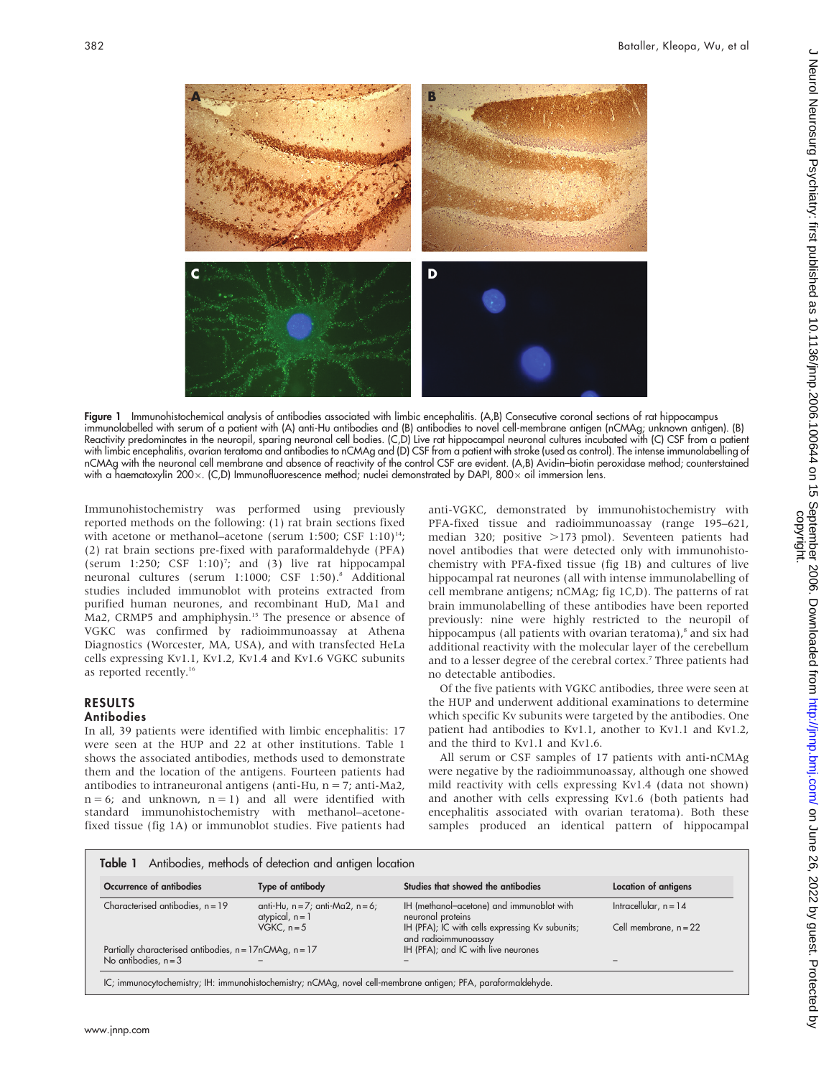

Figure 1 Immunohistochemical analysis of antibodies associated with limbic encephalitis. (A,B) Consecutive coronal sections of rat hippocampus immunolabelled with serum of a patient with (A) anti-Hu antibodies and (B) antibodies to novel cell-membrane antigen (nCMAg; unknown antigen). (B) Reactivity predominates in the neuropil, sparing neuronal cell bodies. (C,D) Live rat hippocampal neuronal cultures incubated with (C) CSF from a patient with limbic encephalitis, ovarian teratoma and antibodies to nCMAg and (D) CSF from a patient with stroke (used as control). The intense immunolabelling of nCMAg with the neuronal cell membrane and absence of reactivity of the control CSF are evident. (A,B) Avidin–biotin peroxidase method; counterstained with a haematoxylin 200 $\times$ . (C,D) Immunofluorescence method; nuclei demonstrated by DAPI, 800 $\times$  oil immersion lens.

Immunohistochemistry was performed using previously reported methods on the following: (1) rat brain sections fixed with acetone or methanol–acetone (serum 1:500; CSF 1:10)<sup>14</sup>; (2) rat brain sections pre-fixed with paraformaldehyde (PFA) (serum 1:250; CSF 1:10)<sup>7</sup>; and (3) live rat hippocampal neuronal cultures (serum 1:1000; CSF 1:50).8 Additional studies included immunoblot with proteins extracted from purified human neurones, and recombinant HuD, Ma1 and Ma2, CRMP5 and amphiphysin.<sup>15</sup> The presence or absence of VGKC was confirmed by radioimmunoassay at Athena Diagnostics (Worcester, MA, USA), and with transfected HeLa cells expressing Kv1.1, Kv1.2, Kv1.4 and Kv1.6 VGKC subunits as reported recently.<sup>16</sup>

# RESULTS

# Antibodies

In all, 39 patients were identified with limbic encephalitis: 17 were seen at the HUP and 22 at other institutions. Table 1 shows the associated antibodies, methods used to demonstrate them and the location of the antigens. Fourteen patients had antibodies to intraneuronal antigens (anti-Hu,  $n = 7$ ; anti-Ma2,  $n = 6$ ; and unknown,  $n = 1$ ) and all were identified with standard immunohistochemistry with methanol–acetonefixed tissue (fig 1A) or immunoblot studies. Five patients had

anti-VGKC, demonstrated by immunohistochemistry with PFA-fixed tissue and radioimmunoassay (range 195–621, median 320; positive  $>173$  pmol). Seventeen patients had novel antibodies that were detected only with immunohistochemistry with PFA-fixed tissue (fig 1B) and cultures of live hippocampal rat neurones (all with intense immunolabelling of cell membrane antigens; nCMAg; fig 1C,D). The patterns of rat brain immunolabelling of these antibodies have been reported previously: nine were highly restricted to the neuropil of hippocampus (all patients with ovarian teratoma),<sup>8</sup> and six had additional reactivity with the molecular layer of the cerebellum and to a lesser degree of the cerebral cortex.<sup>7</sup> Three patients had no detectable antibodies.

Of the five patients with VGKC antibodies, three were seen at the HUP and underwent additional examinations to determine which specific Kv subunits were targeted by the antibodies. One patient had antibodies to Kv1.1, another to Kv1.1 and Kv1.2, and the third to Kv1.1 and Kv1.6.

All serum or CSF samples of 17 patients with anti-nCMAg were negative by the radioimmunoassay, although one showed mild reactivity with cells expressing Kv1.4 (data not shown) and another with cells expressing Kv1.6 (both patients had encephalitis associated with ovarian teratoma). Both these samples produced an identical pattern of hippocampal

| Occurrence of antibodies                                | Type of antibody                                            | Studies that showed the antibodies                                      | Location of antigens    |
|---------------------------------------------------------|-------------------------------------------------------------|-------------------------------------------------------------------------|-------------------------|
| Characterised antibodies, $n = 19$                      | anti-Hu, $n = 7$ ; anti-Ma2, $n = 6$ ;<br>atypical, $n = 1$ | IH (methanol-acetone) and immunoblot with<br>neuronal proteins          | Intracellular, $n = 14$ |
|                                                         | VGKC, $n = 5$                                               | IH (PFA); IC with cells expressing Kv subunits;<br>and radioimmunoassay | Cell membrane, $n = 22$ |
| Partially characterised antibodies, n = 17nCMAg, n = 17 |                                                             | IH (PFA); and IC with live neurones                                     |                         |
| No antibodies, $n = 3$                                  |                                                             |                                                                         |                         |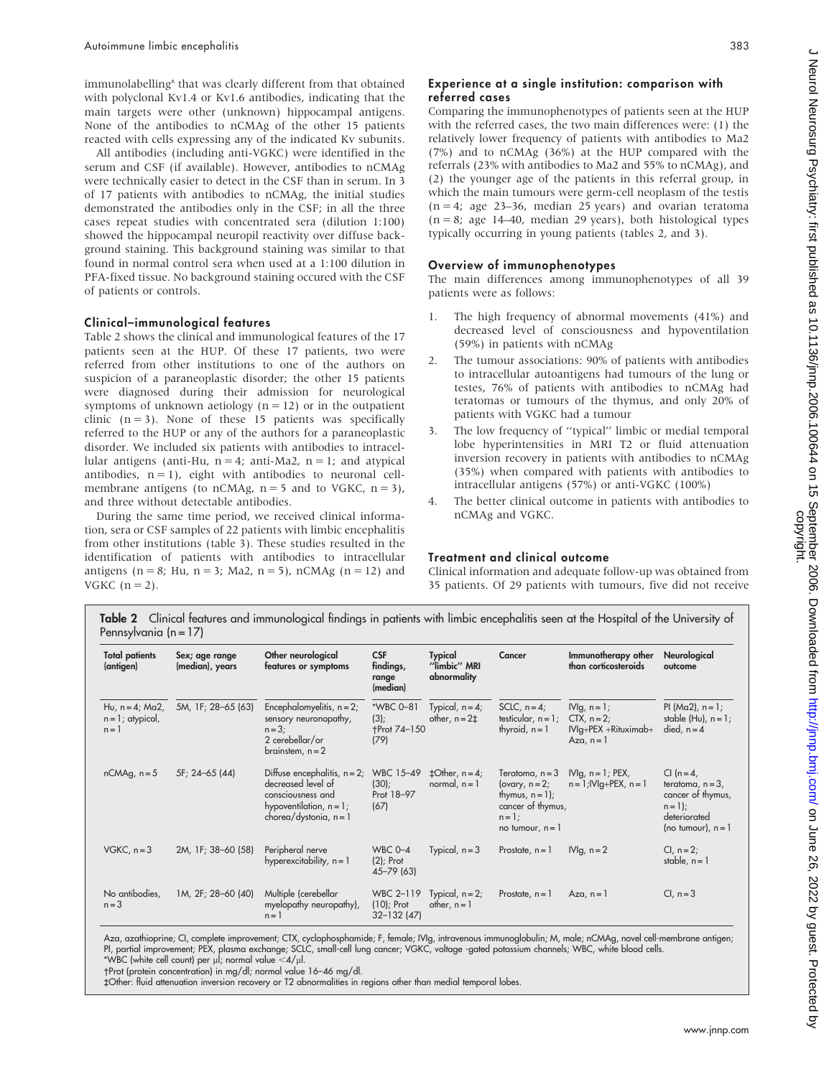immunolabelling<sup>8</sup> that was clearly different from that obtained with polyclonal Kv1.4 or Kv1.6 antibodies, indicating that the main targets were other (unknown) hippocampal antigens. None of the antibodies to nCMAg of the other 15 patients reacted with cells expressing any of the indicated Kv subunits.

All antibodies (including anti-VGKC) were identified in the serum and CSF (if available). However, antibodies to nCMAg were technically easier to detect in the CSF than in serum. In 3 of 17 patients with antibodies to nCMAg, the initial studies demonstrated the antibodies only in the CSF; in all the three cases repeat studies with concentrated sera (dilution 1:100) showed the hippocampal neuropil reactivity over diffuse background staining. This background staining was similar to that found in normal control sera when used at a 1:100 dilution in PFA-fixed tissue. No background staining occured with the CSF of patients or controls.

### Clinical–immunological features

Table 2 shows the clinical and immunological features of the 17 patients seen at the HUP. Of these 17 patients, two were referred from other institutions to one of the authors on suspicion of a paraneoplastic disorder; the other 15 patients were diagnosed during their admission for neurological symptoms of unknown aetiology ( $n = 12$ ) or in the outpatient clinic  $(n = 3)$ . None of these 15 patients was specifically referred to the HUP or any of the authors for a paraneoplastic disorder. We included six patients with antibodies to intracellular antigens (anti-Hu,  $n = 4$ ; anti-Ma2,  $n = 1$ ; and atypical antibodies,  $n = 1$ ), eight with antibodies to neuronal cellmembrane antigens (to nCMAg,  $n = 5$  and to VGKC,  $n = 3$ ), and three without detectable antibodies.

During the same time period, we received clinical information, sera or CSF samples of 22 patients with limbic encephalitis from other institutions (table 3). These studies resulted in the identification of patients with antibodies to intracellular antigens ( $n = 8$ ; Hu,  $n = 3$ ; Ma2,  $n = 5$ ), nCMAg ( $n = 12$ ) and VGKC  $(n = 2)$ .

## Experience at a single institution: comparison with referred cases

Comparing the immunophenotypes of patients seen at the HUP with the referred cases, the two main differences were: (1) the relatively lower frequency of patients with antibodies to Ma2 (7%) and to nCMAg (36%) at the HUP compared with the referrals (23% with antibodies to Ma2 and 55% to nCMAg), and (2) the younger age of the patients in this referral group, in which the main tumours were germ-cell neoplasm of the testis  $(n = 4; age 23-36, median 25 years)$  and ovarian teratoma  $(n = 8;$  age 14–40, median 29 years), both histological types typically occurring in young patients (tables 2, and 3).

## Overview of immunophenotypes

The main differences among immunophenotypes of all 39 patients were as follows:

- 1. The high frequency of abnormal movements (41%) and decreased level of consciousness and hypoventilation (59%) in patients with nCMAg
- 2. The tumour associations: 90% of patients with antibodies to intracellular autoantigens had tumours of the lung or testes, 76% of patients with antibodies to nCMAg had teratomas or tumours of the thymus, and only 20% of patients with VGKC had a tumour
- 3. The low frequency of ''typical'' limbic or medial temporal lobe hyperintensities in MRI T2 or fluid attenuation inversion recovery in patients with antibodies to nCMAg (35%) when compared with patients with antibodies to intracellular antigens (57%) or anti-VGKC (100%)
- 4. The better clinical outcome in patients with antibodies to nCMAg and VGKC.

# Treatment and clinical outcome

Clinical information and adequate follow-up was obtained from 35 patients. Of 29 patients with tumours, five did not receive

| <b>Total patients</b><br>(antigen)                   | Sex; age range<br>(median), years | Other neurological<br>features or symptoms                                                                                           | <b>CSF</b><br>findings,<br>range<br>(median)        | <b>Typical</b><br>"limbic" MRI<br>abnormality | Cancer                                                                                                              | Immunotherapy other<br>than corticosteroids                                 | Neurological<br>outcome                                                                                       |
|------------------------------------------------------|-----------------------------------|--------------------------------------------------------------------------------------------------------------------------------------|-----------------------------------------------------|-----------------------------------------------|---------------------------------------------------------------------------------------------------------------------|-----------------------------------------------------------------------------|---------------------------------------------------------------------------------------------------------------|
| Hu, $n = 4$ ; Ma2,<br>$n = 1$ ; atypical,<br>$n = 1$ | 5M, 1F; 28-65 (63)                | Encephalomyelitis, $n = 2$ ;<br>sensory neuronopathy,<br>$n = 3$ ;<br>2 cerebellar/or<br>brainstem, $n = 2$                          | *WBC 0-81<br>$(3)$ ;<br><b>+Prot 74-150</b><br>(79) | Typical, $n = 4$ ;<br>other, $n = 2\pm$       | SCLC, $n = 4$ ;<br>testicular, $n = 1$ ;<br>thyroid, $n = 1$                                                        | $Nlg, n = 1;$<br>$CTX$ , $n=2$ ;<br>$Nlg + PEX + Rituximab +$<br>$Aza, n=1$ | PI ( $Ma2$ ), $n = 1$ ;<br>stable $(Hu)$ , $n = 1$ ;<br>died, $n = 4$                                         |
| $nCMAg$ , $n = 5$                                    | 5F; 24-65 (44)                    | Diffuse encephalitis, $n = 2$ ;<br>decreased level of<br>consciousness and<br>hypoventilation, $n = 1$ ;<br>chorea/dystonia, $n = 1$ | WBC 15-49<br>(30):<br>Prot 18-97<br>(67)            | $\pm$ Other, n = 4;<br>normal, $n = 1$        | Teratoma, $n = 3$<br>(ovary, $n = 2$ ;<br>thymus, $n = 1$ ;<br>cancer of thymus,<br>$n = 1$ ;<br>no tumour, $n = 1$ | $Nlg$ , $n = 1$ ; PEX,<br>$n = 1$ ; $ V q + PEX$ , $n = 1$                  | CI $(n = 4)$<br>teratoma, $n = 3$ ,<br>cancer of thymus,<br>$n = 1$ :<br>deteriorated<br>(no tumour), $n = 1$ |
| $VGKC, n=3$                                          | 2M, 1F; 38-60 (58)                | Peripheral nerve<br>hyperexcitability, $n = 1$                                                                                       | <b>WBC 0-4</b><br>$(2)$ ; Prot<br>45-79 (63)        | Typical, $n = 3$                              | Prostate, $n = 1$                                                                                                   | $Nlg, n = 2$                                                                | $Cl, n = 2;$<br>stable, $n = 1$                                                                               |
| No antibodies,<br>$n = 3$                            | 1M, 2F; 28-60 (40)                | Multiple (cerebellar<br>myelopathy neuropathy),<br>$n = 1$                                                                           | WBC 2-119<br>$(10)$ ; Prot<br>$32 - 132(47)$        | Typical, $n = 2$ ;<br>other, $n = 1$          | Prostate, $n = 1$                                                                                                   | $Aza, n=1$                                                                  | $Cl, n=3$                                                                                                     |

\*WBC (white cell count) per  $\mu$ l; normal value  $<$ 4/ $\mu$ l.

-Prot (protein concentration) in mg/dl; normal value 16–46 mg/dl. `Other: fluid attenuation inversion recovery or T2 abnormalities in regions other than medial temporal lobes.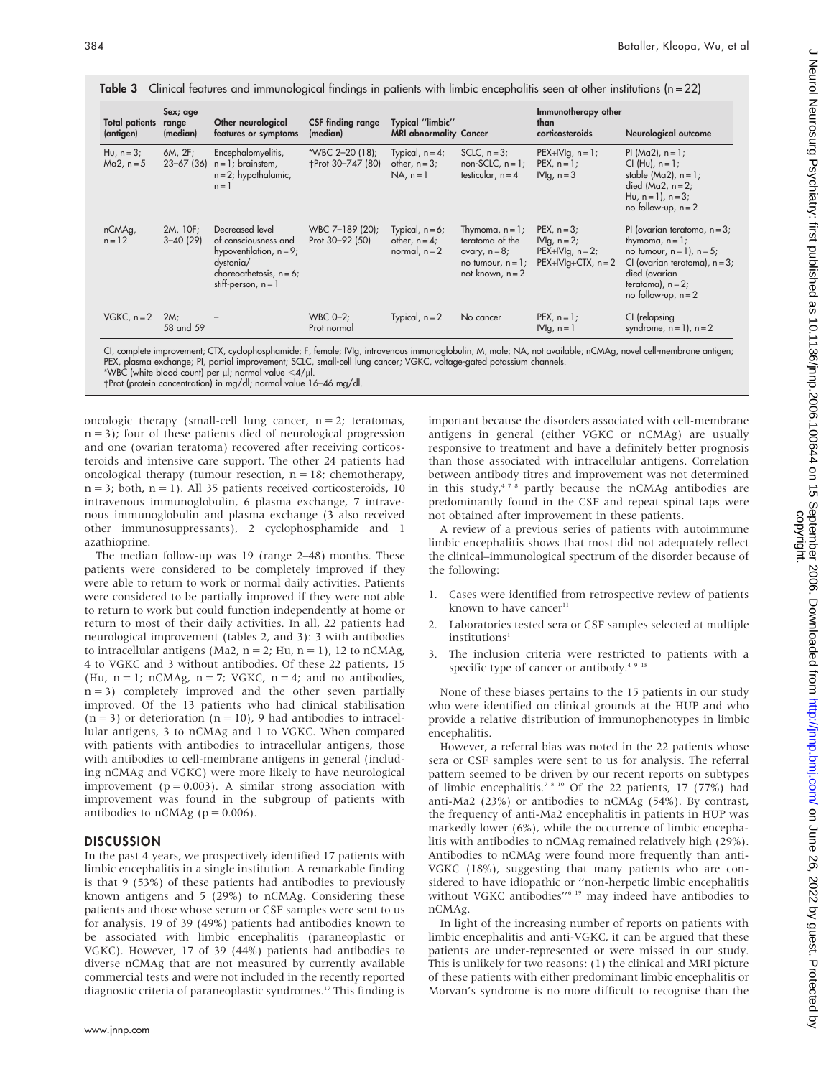| <b>Total patients</b><br>(antigen) | Sex; age<br>range<br>(median) | Other neurological<br>features or symptoms                                                                                                | <b>CSF finding range</b><br>(median) | Typical "limbic"<br><b>MRI</b> abnormality Cancer         |                                                                                                         | Immunotherapy other<br>than<br>corticosteroids                           | Neurological outcome                                                                                                                                                                         |
|------------------------------------|-------------------------------|-------------------------------------------------------------------------------------------------------------------------------------------|--------------------------------------|-----------------------------------------------------------|---------------------------------------------------------------------------------------------------------|--------------------------------------------------------------------------|----------------------------------------------------------------------------------------------------------------------------------------------------------------------------------------------|
| Hu, $n=3$ ;<br>$Ma2, n=5$          | 6M, 2F;<br>$23 - 67$ (36)     | Encephalomyelitis,<br>$n = 1$ ; brainstem,<br>$n = 2$ ; hypothalamic,<br>$n = 1$                                                          | *WBC 2-20 (18);<br>+Prot 30-747 (80) | Typical, $n = 4$ ;<br>other, $n = 3$ ;<br>$NA, n=1$       | $SCLC, n=3;$<br>$non-SCLC, n=1;$<br>testicular, $n = 4$                                                 | $PEX+IVlg, n=1;$<br>PEX, $n = 1$ ;<br>$Nlg, n=3$                         | PI ( $Ma2$ ), $n = 1$ ;<br>$Cl(Hu), n = 1;$<br>stable ( $Ma2$ ), $n = 1$ ;<br>died ( $Ma2$ , $n = 2$ ;<br>Hu, $n = 1$ ), $n = 3$ ;<br>no follow-up, $n = 2$                                  |
| nCMAg,<br>$n = 12$                 | 2M, 10F;<br>$3 - 40(29)$      | Decreased level<br>of consciousness and<br>hypoventilation, $n = 9$ ;<br>dystonia/<br>choreoathetosis, $n = 6$ ;<br>stiff-person, $n = 1$ | WBC 7-189 (20);<br>Prot 30-92 (50)   | Typical, $n = 6$ ;<br>other, $n = 4$ ;<br>normal, $n = 2$ | Thymoma, $n = 1$ ;<br>teratoma of the<br>ovary, $n = 8$ ;<br>no tumour, $n = 1$ ;<br>not known, $n = 2$ | PEX, $n = 3$ ;<br>$Nlg, n=2;$<br>$PEX+IVlg, n=2;$<br>$PEX+IVIq+CTX, n=2$ | PI (ovarian teratoma, $n = 3$ ;<br>thymoma, $n = 1$ ;<br>no tumour, $n = 1$ ), $n = 5$ ;<br>CI (ovarian teratoma), $n = 3$<br>died (ovarian<br>teratoma), $n = 2$ ;<br>no follow-up, $n = 2$ |
| $VGKC, n=2$                        | 2M <sub>i</sub><br>58 and 59  |                                                                                                                                           | WBC $0-2$ ;<br>Prot normal           | Typical, $n = 2$                                          | No cancer                                                                                               | $PEX, n = 1;$<br>$Nlg, n = 1$                                            | CI (relapsing<br>syndrome, $n = 1$ ), $n = 2$                                                                                                                                                |

PEX, plasma exchange; PI, partial improvement; SCLC, small-cell lung cancer; VGKC, voltage-gated potassium channels. \*WBC (white blood count) per  $\mu$ l; normal value  $<$ 4/ $\mu$ l.

-Prot (protein concentration) in mg/dl; normal value 16–46 mg/dl.

oncologic therapy (small-cell lung cancer,  $n = 2$ ; teratomas,  $n = 3$ ; four of these patients died of neurological progression and one (ovarian teratoma) recovered after receiving corticosteroids and intensive care support. The other 24 patients had oncological therapy (tumour resection,  $n = 18$ ; chemotherapy,  $n = 3$ ; both,  $n = 1$ ). All 35 patients received corticosteroids, 10 intravenous immunoglobulin, 6 plasma exchange, 7 intravenous immunoglobulin and plasma exchange (3 also received other immunosuppressants), 2 cyclophosphamide and 1 azathioprine.

The median follow-up was 19 (range 2–48) months. These patients were considered to be completely improved if they were able to return to work or normal daily activities. Patients were considered to be partially improved if they were not able to return to work but could function independently at home or return to most of their daily activities. In all, 22 patients had neurological improvement (tables 2, and 3): 3 with antibodies to intracellular antigens (Ma2,  $n = 2$ ; Hu,  $n = 1$ ), 12 to nCMAg, 4 to VGKC and 3 without antibodies. Of these 22 patients, 15 (Hu,  $n = 1$ ; nCMAg,  $n = 7$ ; VGKC,  $n = 4$ ; and no antibodies,  $n = 3$ ) completely improved and the other seven partially improved. Of the 13 patients who had clinical stabilisation  $(n = 3)$  or deterioration  $(n = 10)$ , 9 had antibodies to intracellular antigens, 3 to nCMAg and 1 to VGKC. When compared with patients with antibodies to intracellular antigens, those with antibodies to cell-membrane antigens in general (including nCMAg and VGKC) were more likely to have neurological improvement ( $p = 0.003$ ). A similar strong association with improvement was found in the subgroup of patients with antibodies to nCMAg ( $p = 0.006$ ).

# **DISCUSSION**

In the past 4 years, we prospectively identified 17 patients with limbic encephalitis in a single institution. A remarkable finding is that 9 (53%) of these patients had antibodies to previously known antigens and 5 (29%) to nCMAg. Considering these patients and those whose serum or CSF samples were sent to us for analysis, 19 of 39 (49%) patients had antibodies known to be associated with limbic encephalitis (paraneoplastic or VGKC). However, 17 of 39 (44%) patients had antibodies to diverse nCMAg that are not measured by currently available commercial tests and were not included in the recently reported diagnostic criteria of paraneoplastic syndromes.<sup>17</sup> This finding is

important because the disorders associated with cell-membrane antigens in general (either VGKC or nCMAg) are usually responsive to treatment and have a definitely better prognosis than those associated with intracellular antigens. Correlation between antibody titres and improvement was not determined in this study, $478$  partly because the nCMAg antibodies are predominantly found in the CSF and repeat spinal taps were not obtained after improvement in these patients.

A review of a previous series of patients with autoimmune limbic encephalitis shows that most did not adequately reflect the clinical–immunological spectrum of the disorder because of the following:

- 1. Cases were identified from retrospective review of patients known to have cancer $11$
- 2. Laboratories tested sera or CSF samples selected at multiple institutions<sup>1</sup>
- 3. The inclusion criteria were restricted to patients with a specific type of cancer or antibody. $4.918$

None of these biases pertains to the 15 patients in our study who were identified on clinical grounds at the HUP and who provide a relative distribution of immunophenotypes in limbic encephalitis.

However, a referral bias was noted in the 22 patients whose sera or CSF samples were sent to us for analysis. The referral pattern seemed to be driven by our recent reports on subtypes of limbic encephalitis.7 8 10 Of the 22 patients, 17 (77%) had anti-Ma2 (23%) or antibodies to nCMAg (54%). By contrast, the frequency of anti-Ma2 encephalitis in patients in HUP was markedly lower (6%), while the occurrence of limbic encephalitis with antibodies to nCMAg remained relatively high (29%). Antibodies to nCMAg were found more frequently than anti-VGKC (18%), suggesting that many patients who are considered to have idiopathic or ''non-herpetic limbic encephalitis without VGKC antibodies"<sup>6 19</sup> may indeed have antibodies to nCMAg.

In light of the increasing number of reports on patients with limbic encephalitis and anti-VGKC, it can be argued that these patients are under-represented or were missed in our study. This is unlikely for two reasons: (1) the clinical and MRI picture of these patients with either predominant limbic encephalitis or Morvan's syndrome is no more difficult to recognise than the